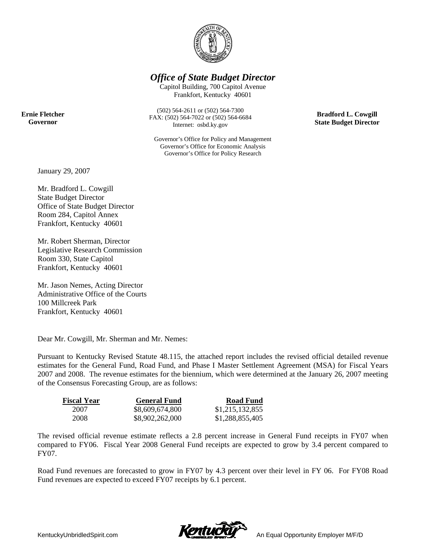

*Office of State Budget Director* 

Capitol Building, 700 Capitol Avenue Frankfort, Kentucky 40601

**Ernie Fletcher Governor** 

(502) 564-2611 or (502) 564-7300 FAX: (502) 564-7022 or (502) 564-6684 Internet: osbd.ky.gov

Governor's Office for Policy and Management Governor's Office for Economic Analysis Governor's Office for Policy Research

**Bradford L. Cowgill State Budget Director** 

January 29, 2007

Mr. Bradford L. Cowgill State Budget Director Office of State Budget Director Room 284, Capitol Annex Frankfort, Kentucky 40601

Mr. Robert Sherman, Director Legislative Research Commission Room 330, State Capitol Frankfort, Kentucky 40601

Mr. Jason Nemes, Acting Director Administrative Office of the Courts 100 Millcreek Park Frankfort, Kentucky 40601

Dear Mr. Cowgill, Mr. Sherman and Mr. Nemes:

Pursuant to Kentucky Revised Statute 48.115, the attached report includes the revised official detailed revenue estimates for the General Fund, Road Fund, and Phase I Master Settlement Agreement (MSA) for Fiscal Years 2007 and 2008. The revenue estimates for the biennium, which were determined at the January 26, 2007 meeting of the Consensus Forecasting Group, are as follows:

| <b>Fiscal Year</b> | <b>General Fund</b> | <b>Road Fund</b> |
|--------------------|---------------------|------------------|
| 2007               | \$8,609,674,800     | \$1,215,132,855  |
| 2008               | \$8,902,262,000     | \$1,288,855,405  |

The revised official revenue estimate reflects a 2.8 percent increase in General Fund receipts in FY07 when compared to FY06. Fiscal Year 2008 General Fund receipts are expected to grow by 3.4 percent compared to FY07.

Road Fund revenues are forecasted to grow in FY07 by 4.3 percent over their level in FY 06. For FY08 Road Fund revenues are expected to exceed FY07 receipts by 6.1 percent.

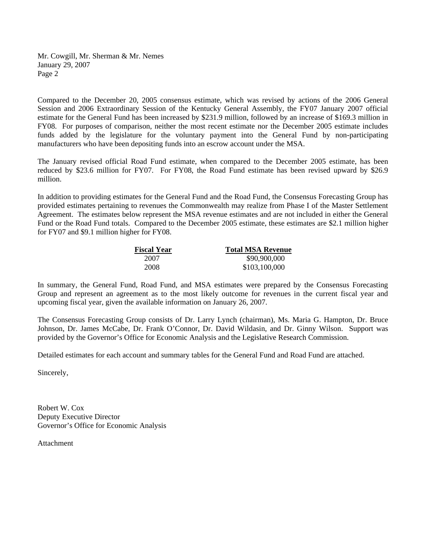Mr. Cowgill, Mr. Sherman & Mr. Nemes January 29, 2007 Page 2

Compared to the December 20, 2005 consensus estimate, which was revised by actions of the 2006 General Session and 2006 Extraordinary Session of the Kentucky General Assembly, the FY07 January 2007 official estimate for the General Fund has been increased by \$231.9 million, followed by an increase of \$169.3 million in FY08. For purposes of comparison, neither the most recent estimate nor the December 2005 estimate includes funds added by the legislature for the voluntary payment into the General Fund by non-participating manufacturers who have been depositing funds into an escrow account under the MSA.

The January revised official Road Fund estimate, when compared to the December 2005 estimate, has been reduced by \$23.6 million for FY07. For FY08, the Road Fund estimate has been revised upward by \$26.9 million.

In addition to providing estimates for the General Fund and the Road Fund, the Consensus Forecasting Group has provided estimates pertaining to revenues the Commonwealth may realize from Phase I of the Master Settlement Agreement. The estimates below represent the MSA revenue estimates and are not included in either the General Fund or the Road Fund totals. Compared to the December 2005 estimate, these estimates are \$2.1 million higher for FY07 and \$9.1 million higher for FY08.

| <b>Fiscal Year</b> | <b>Total MSA Revenue</b> |
|--------------------|--------------------------|
| 2007               | \$90,900,000             |
| 2008               | \$103,100,000            |

In summary, the General Fund, Road Fund, and MSA estimates were prepared by the Consensus Forecasting Group and represent an agreement as to the most likely outcome for revenues in the current fiscal year and upcoming fiscal year, given the available information on January 26, 2007.

The Consensus Forecasting Group consists of Dr. Larry Lynch (chairman), Ms. Maria G. Hampton, Dr. Bruce Johnson, Dr. James McCabe, Dr. Frank O'Connor, Dr. David Wildasin, and Dr. Ginny Wilson. Support was provided by the Governor's Office for Economic Analysis and the Legislative Research Commission.

Detailed estimates for each account and summary tables for the General Fund and Road Fund are attached.

Sincerely,

Robert W. Cox Deputy Executive Director Governor's Office for Economic Analysis

Attachment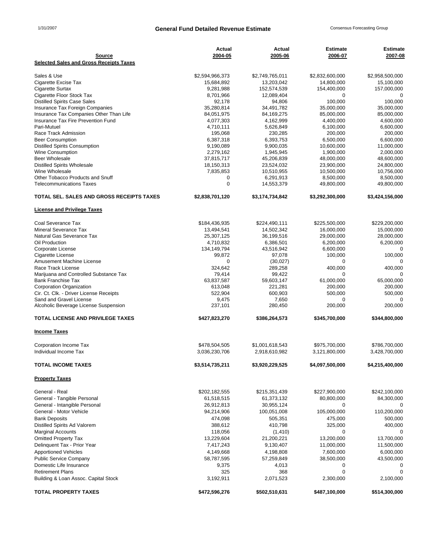### 1/31/2007 **General Fund Detailed Revenue Estimate** Consensus Forecasting Group

| <b>Source</b>                                              | Actual<br>2004-05       | Actual<br>2005-06       | Estimate<br>2006-07     | <b>Estimate</b><br>2007-08 |
|------------------------------------------------------------|-------------------------|-------------------------|-------------------------|----------------------------|
| <b>Selected Sales and Gross Receipts Taxes</b>             |                         |                         |                         |                            |
| Sales & Use                                                | \$2,594,966,373         | \$2,749,765,011         | \$2,832,600,000         | \$2,958,500,000            |
| Cigarette Excise Tax                                       | 15,684,892              | 13,203,042              | 14,800,000              | 15,100,000                 |
| <b>Cigarette Surtax</b>                                    | 9,281,988               | 152,574,539             | 154,400,000             | 157,000,000                |
| Cigarette Floor Stock Tax                                  | 8,701,966               | 12,089,404              | 0                       | 0                          |
| <b>Distilled Spirits Case Sales</b>                        | 92,178                  | 94,806                  | 100,000                 | 100,000                    |
| Insurance Tax Foreign Companies                            | 35,280,814              | 34,491,782              | 35,000,000              | 35,000,000                 |
| Insurance Tax Companies Other Than Life                    | 84,051,975              | 84,169,275              | 85,000,000              | 85,000,000                 |
| Insurance Tax Fire Prevention Fund                         | 4,077,303               | 4,162,999               | 4,400,000               | 4,600,000                  |
| Pari-Mutuel                                                | 4,710,111               | 5,626,849               | 6,100,000               | 6,600,000                  |
| Race Track Admission                                       | 195,068                 | 230,285                 | 200,000                 | 200,000                    |
| <b>Beer Consumption</b>                                    | 6,387,318               | 6,393,753               | 6,500,000               | 6,600,000                  |
| <b>Distilled Spirits Consumption</b>                       | 9,190,089               | 9,900,035               | 10,600,000              | 11,000,000                 |
| <b>Wine Consumption</b>                                    | 2,279,162               | 1,945,945               | 1,900,000               | 2,000,000                  |
| <b>Beer Wholesale</b>                                      | 37,815,717              | 45,206,839              | 48,000,000              | 48,600,000                 |
| <b>Distilled Spirits Wholesale</b>                         | 18,150,313              | 23,524,032              | 23,900,000              | 24,800,000                 |
| Wine Wholesale                                             | 7,835,853               | 10,510,955              | 10,500,000              | 10,756,000                 |
| Other Tobacco Products and Snuff                           | 0                       | 6,291,913               | 8,500,000               | 8,500,000                  |
| <b>Telecommunications Taxes</b>                            | $\mathbf 0$             | 14,553,379              | 49,800,000              | 49,800,000                 |
| TOTAL SEL. SALES AND GROSS RECEIPTS TAXES                  | \$2,838,701,120         | \$3,174,734,842         | \$3,292,300,000         | \$3,424,156,000            |
| <b>License and Privilege Taxes</b>                         |                         |                         |                         |                            |
| Coal Severance Tax                                         | \$184,436,935           | \$224,490,111           | \$225,500,000           | \$229,200,000              |
| Mineral Severance Tax                                      | 13,494,541              | 14,502,342              | 16,000,000              | 15,000,000                 |
| Natural Gas Severance Tax                                  | 25,307,125              | 36,199,516              | 29,000,000              | 28,000,000                 |
| Oil Production                                             | 4,710,832               | 6,386,501               | 6,200,000               | 6,200,000                  |
| Corporate License                                          | 134,149,794             | 43,516,942              | 6,600,000               |                            |
| Cigarette License                                          | 99,872                  | 97,078                  | 100,000                 | 100,000                    |
| Amusement Machine License                                  | 0                       | (30, 027)               | 0                       |                            |
| Race Track License                                         | 324,642                 | 289,258                 | 400,000                 | 400,000                    |
| Marijuana and Controlled Substance Tax                     | 79,414                  | 99,422                  | $\Omega$                |                            |
| <b>Bank Franchise Tax</b>                                  | 63,837,587              | 59,603,147              | 61,000,000              | 65,000,000                 |
| Corporation Organization                                   | 613,048                 | 221,281                 | 200,000                 | 200,000                    |
| Cir. Ct. Clk. - Driver License Receipts                    | 522,904                 | 600,903                 | 500,000                 | 500,000                    |
| Sand and Gravel License                                    | 9,475                   | 7,650                   | 0                       |                            |
| Alcoholic Beverage License Suspension                      | 237,101                 | 280,450                 | 200,000                 | 200,000                    |
| <b>TOTAL LICENSE AND PRIVILEGE TAXES</b>                   | \$427,823,270           | \$386,264,573           | \$345,700,000           | \$344,800,000              |
| <b>Income Taxes</b>                                        |                         |                         |                         |                            |
| Corporation Income Tax                                     | \$478,504,505           | \$1,001,618,543         | \$975,700,000           | \$786,700,000              |
| Individual Income Tax                                      | 3,036,230,706           | 2,918,610,982           | 3,121,800,000           | 3,428,700,000              |
| <b>TOTAL INCOME TAXES</b>                                  | \$3,514,735,211         | \$3,920,229,525         | \$4,097,500,000         | \$4,215,400,000            |
| <b>Property Taxes</b>                                      |                         |                         |                         |                            |
| General - Real                                             | \$202,182,555           |                         | \$227,900,000           | \$242,100,000              |
|                                                            |                         | \$215,351,439           |                         |                            |
| General - Tangible Personal                                | 61,518,515              | 61,373,132              | 80,800,000              | 84,300,000                 |
| General - Intangible Personal                              | 26,912,813              | 30,955,124              | 0                       | 0<br>110,200,000           |
| General - Motor Vehicle                                    | 94,214,906              | 100,051,008             | 105,000,000             |                            |
| <b>Bank Deposits</b>                                       | 474,098<br>388,612      | 505,351                 | 475,000                 | 500,000                    |
| Distilled Spirits Ad Valorem<br><b>Marginal Accounts</b>   | 118,056                 | 410,798                 | 325,000<br>0            | 400,000<br>0               |
|                                                            |                         | (1, 410)                | 13,200,000              | 13,700,000                 |
| <b>Omitted Property Tax</b><br>Delinquent Tax - Prior Year | 13,229,604              | 21,200,221              |                         |                            |
|                                                            | 7,417,243               | 9,130,407               | 11,000,000              | 11,500,000                 |
| <b>Apportioned Vehicles</b>                                | 4,149,668<br>58,787,595 | 4,198,808<br>57,259,849 | 7,600,000<br>38,500,000 | 6,000,000<br>43,500,000    |
| <b>Public Service Company</b><br>Domestic Life Insurance   |                         |                         |                         |                            |
|                                                            | 9,375                   | 4,013                   | 0                       | 0                          |
| <b>Retirement Plans</b>                                    | 325                     | 368                     | 0                       | 0                          |
| Building & Loan Assoc. Capital Stock                       | 3,192,911               | 2,071,523               | 2,300,000               | 2,100,000                  |
| <b>TOTAL PROPERTY TAXES</b>                                | \$472,596,276           | \$502,510,631           | \$487,100,000           | \$514,300,000              |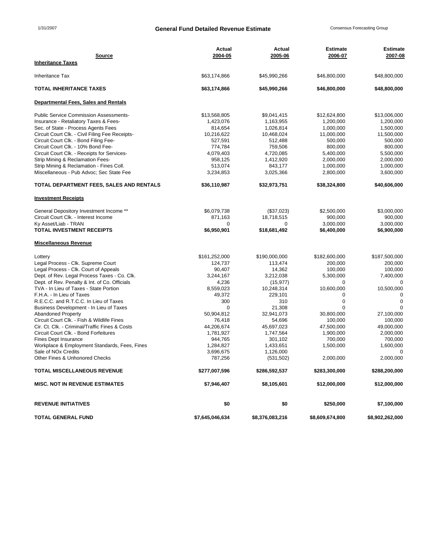### 1/31/2007 **General Fund Detailed Revenue Estimate** Consensus Forecasting Group

| <b>Source</b>                                                                | Actual<br>2004-05     | Actual                 | <b>Estimate</b><br>2006-07 | Estimate<br>2007-08     |
|------------------------------------------------------------------------------|-----------------------|------------------------|----------------------------|-------------------------|
| <b>Inheritance Taxes</b>                                                     |                       | 2005-06                |                            |                         |
| <b>Inheritance Tax</b>                                                       | \$63,174,866          | \$45,990,266           | \$46,800,000               | \$48,800,000            |
| <b>TOTAL INHERITANCE TAXES</b>                                               | \$63,174,866          | \$45,990,266           | \$46,800,000               | \$48,800,000            |
| Departmental Fees, Sales and Rentals                                         |                       |                        |                            |                         |
| <b>Public Service Commission Assessments-</b>                                | \$13,568,805          | \$9,041,415            | \$12,624,800               | \$13,006,000            |
| Insurance - Retaliatory Taxes & Fees-<br>Sec. of State - Process Agents Fees | 1,423,076             | 1,163,955<br>1,026,814 | 1,200,000                  | 1,200,000               |
| Circuit Court Clk. - Civil Filing Fee Receipts-                              | 814,654<br>10,216,622 | 10,468,024             | 1,000,000<br>11,000,000    | 1,500,000<br>11,500,000 |
| Circuit Court Clk. - Bond Filing Fee-                                        | 527,591               | 512,488                | 500,000                    | 500,000                 |
| Circuit Court Clk. - 10% Bond Fee-                                           | 774,784               | 759,506                | 800,000                    | 800,000                 |
| Circuit Court Clk. - Receipts for Services-                                  | 4,079,403             | 4,720,085              | 5,400,000                  | 5,500,000               |
| Strip Mining & Reclamation Fees-                                             | 958,125               | 1,412,920              | 2,000,000                  | 2,000,000               |
| Strip Mining & Reclamation - Fines Coll.                                     | 513,074               | 843,177                | 1,000,000                  | 1,000,000               |
| Miscellaneous - Pub Advoc; Sec State Fee                                     | 3,234,853             | 3,025,366              | 2,800,000                  | 3,600,000               |
| TOTAL DEPARTMENT FEES, SALES AND RENTALS                                     | \$36,110,987          | \$32,973,751           | \$38,324,800               | \$40,606,000            |
| <b>Investment Receipts</b>                                                   |                       |                        |                            |                         |
| General Depository Investment Income **                                      | \$6,079,738           | (\$37,023)             | \$2,500,000                | \$3,000,000             |
| Circuit Court Clk. - Interest Income                                         | 871,163               | 18,718,515             | 900,000                    | 900,000                 |
| Ky Asset/Liab - TRAN                                                         | 0                     | $\Omega$               | 3,000,000                  | 3,000,000               |
| <b>TOTAL INVESTMENT RECEIPTS</b>                                             | \$6,950,901           | \$18,681,492           | \$6,400,000                | \$6,900,000             |
| <b>Miscellaneous Revenue</b>                                                 |                       |                        |                            |                         |
| Lottery                                                                      | \$161,252,000         | \$190,000,000          | \$182,600,000              | \$187,500,000           |
| Legal Process - Clk. Supreme Court                                           | 124,737               | 113,474                | 200,000                    | 200,000                 |
| Legal Process - Clk. Court of Appeals                                        | 90,407                | 14,362                 | 100,000                    | 100,000                 |
| Dept. of Rev. Legal Process Taxes - Co. Clk.                                 | 3,244,167             | 3,212,038              | 5,300,000                  | 7,400,000               |
| Dept. of Rev. Penalty & Int. of Co. Officials                                | 4,236                 | (15, 977)              | $\Omega$                   | 0                       |
| TVA - In Lieu of Taxes - State Portion                                       | 8,559,023             | 10,248,314             | 10,600,000                 | 10,500,000              |
| F.H.A. - In Lieu of Taxes                                                    | 49,372                | 229,101                | 0                          | $\Omega$                |
| R.E.C.C. and R.T.C.C. In Lieu of Taxes                                       | 300                   | 310                    | 0<br>$\Omega$              | $\mathbf 0$<br>$\Omega$ |
| Business Development - In Lieu of Taxes<br><b>Abandoned Property</b>         | 0<br>50,904,812       | 21,308<br>32,941,073   | 30,800,000                 | 27,100,000              |
| Circuit Court Clk. - Fish & Wildlife Fines                                   | 76,418                | 54,696                 | 100,000                    | 100,000                 |
| Cir. Ct. Clk. - Criminal/Traffic Fines & Costs                               | 44,206,674            | 45,697,023             | 47,500,000                 | 49,000,000              |
| Circuit Court Clk. - Bond Forfeitures                                        | 1,781,927             | 1,747,564              | 1,900,000                  | 2,000,000               |
| <b>Fines Dept Insurance</b>                                                  | 944,765               | 301,102                | 700,000                    | 700,000                 |
| Workplace & Employment Standards, Fees, Fines                                | 1,284,827             | 1,433,651              | 1,500,000                  | 1,600,000               |
| Sale of NO <sub>x</sub> Credits                                              | 3,696,675             | 1,126,000              |                            | $\mathbf 0$             |
| Other Fines & Unhonored Checks                                               | 787,256               | (531, 502)             | 2,000,000                  | 2,000,000               |
| <b>TOTAL MISCELLANEOUS REVENUE</b>                                           | \$277,007,596         | \$286,592,537          | \$283,300,000              | \$288,200,000           |
| <b>MISC. NOT IN REVENUE ESTIMATES</b>                                        | \$7,946,407           | \$8,105,601            | \$12,000,000               | \$12,000,000            |
| <b>REVENUE INITIATIVES</b>                                                   | \$0                   | \$0                    | \$250,000                  | \$7,100,000             |
| <b>TOTAL GENERAL FUND</b>                                                    | \$7,645,046,634       | \$8,376,083,216        | \$8,609,674,800            | \$8,902,262,000         |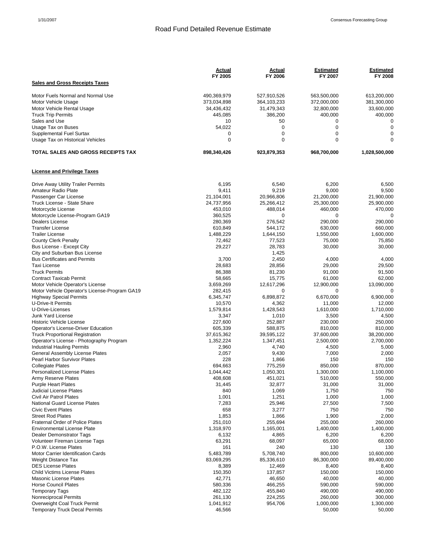#### Road Fund Detailed Revenue Estimate

|                                                                                   | Actual               | <u>Actual</u>        | <b>Estimated</b>      | <b>Estimated</b>      |
|-----------------------------------------------------------------------------------|----------------------|----------------------|-----------------------|-----------------------|
| <b>Sales and Gross Receipts Taxes</b>                                             | FY 2005              | FY 2006              | FY 2007               | FY 2008               |
|                                                                                   |                      |                      |                       |                       |
| Motor Fuels Normal and Normal Use                                                 | 490,369,979          | 527,910,526          | 563,500,000           | 613,200,000           |
| Motor Vehicle Usage                                                               | 373,034,898          | 364,103,233          | 372,000,000           | 381,300,000           |
| Motor Vehicle Rental Usage                                                        | 34,436,432           | 31,479,343           | 32,800,000<br>400,000 | 33,600,000<br>400,000 |
| <b>Truck Trip Permits</b><br>Sales and Use                                        | 445,085<br>10        | 386,200<br>50        | 0                     | $\mathbf 0$           |
| Usage Tax on Buses                                                                | 54,022               | $\mathbf 0$          | 0                     | $\mathbf 0$           |
| Supplemental Fuel Surtax                                                          | 0                    | $\mathbf 0$          | 0                     | $\mathbf 0$           |
| Usage Tax on Historical Vehicles                                                  | $\Omega$             | $\Omega$             | $\Omega$              | $\Omega$              |
| TOTAL SALES AND GROSS RECEIPTS TAX                                                | 898,340,426          | 923,879,353          | 968,700,000           | 1,028,500,000         |
| <b>License and Privilege Taxes</b>                                                |                      |                      |                       |                       |
| Drive Away Utility Trailer Permits                                                | 6,195                | 6,540                | 6,200                 | 6,500                 |
| Amateur Radio Plate                                                               | 9,411                | 9,219                | 9,000                 | 9,500                 |
| Passenger Car License                                                             | 21,104,001           | 20,966,806           | 21,200,000            | 21,900,000            |
| Truck License - State Share                                                       | 24,737,956           | 25,266,412           | 25,300,000            | 25,900,000            |
| Motorcycle License                                                                | 453,010              | 488,014              | 460,000               | 470,000               |
| Motorcycle License-Program GA19                                                   | 360,525              | 0                    | 0                     | 0                     |
| Dealers License<br><b>Transfer License</b>                                        | 280,369<br>610,849   | 276,542<br>544,172   | 290,000<br>630,000    | 290,000<br>660,000    |
| <b>Trailer License</b>                                                            | 1,488,229            | 1,644,150            | 1,550,000             | 1,600,000             |
| <b>County Clerk Penalty</b>                                                       | 72,462               | 77,523               | 75,000                | 75.850                |
| Bus License - Except City                                                         | 29,227               | 28,783               | 30,000                | 30,000                |
| City and Suburban Bus License                                                     |                      | 1,425                |                       |                       |
| <b>Bus Certificates and Permits</b>                                               | 3,700                | 2,450                | 4,000                 | 4,000                 |
| <b>Taxi License</b>                                                               | 28,683               | 28,856               | 29,000                | 29,500                |
| <b>Truck Permits</b>                                                              | 86,388               | 81,230               | 91,000                | 91,500                |
| <b>Contract Taxicab Permit</b>                                                    | 58,665               | 15,775               | 61,000                | 62,000                |
| Motor Vehicle Operator's License<br>Motor Vehicle Operator's License-Program GA19 | 3,659,269<br>282,415 | 12,617,296<br>0      | 12,900,000<br>0       | 13,090,000<br>0       |
| <b>Highway Special Permits</b>                                                    | 6,345,747            | 6,898,872            | 6,670,000             | 6,900,000             |
| <b>U-Drive-It Permits</b>                                                         | 10,570               | 4,362                | 11,000                | 12,000                |
| U-Drive-Licenses                                                                  | 1,579,814            | 1,428,543            | 1,610,000             | 1,710,000             |
| Junk Yard License                                                                 | 3,347                | 1,010                | 3,500                 | 4,500                 |
| <b>Historic Vehicle License</b>                                                   | 227,600              | 252,887              | 230,000               | 250,000               |
| Operator's License-Driver Education                                               | 605,339              | 588,875              | 810,000               | 810,000               |
| <b>Truck Proportional Registration</b>                                            | 37,615,362           | 39,595,122           | 37,600,000            | 38,200,000            |
| Operator's License - Photography Program<br><b>Industrial Hauling Permits</b>     | 1,352,224<br>2,960   | 1,347,451<br>4,740   | 2,500,000<br>4,500    | 2,700,000<br>5,000    |
| General Assembly License Plates                                                   | 2,057                | 9,430                | 7,000                 | 2,000                 |
| Pearl Harbor Survivor Plates                                                      | 228                  | 1,866                | 150                   | 150                   |
| <b>Collegiate Plates</b>                                                          | 694,663              | 775,259              | 850,000               | 870.000               |
| <b>Personalized License Plates</b>                                                | 1,044,442            | 1,050,301            | 1,300,000             | 1,100,000             |
| Army Reserve Plates                                                               | 408,608              | 451,021              | 510,000               | 550,000               |
| <b>Purple Heart Plates</b>                                                        | 31,445               | 32,877               | 31,000                | 31,000                |
| Judicial License Plates                                                           | 840                  | 1,069                | 1,750                 | 750                   |
| Civil Air Patrol Plates<br><b>National Guard License Plates</b>                   | 1,001                | 1,251                | 1,000                 | 1,000                 |
| <b>Civic Event Plates</b>                                                         | 7,283<br>658         | 25,946<br>3,277      | 27,500<br>750         | 7,500<br>750          |
| <b>Street Rod Plates</b>                                                          | 1,853                | 1,866                | 1,900                 | 2,000                 |
| <b>Fraternal Order of Police Plates</b>                                           | 251,010              | 255,694              | 255,000               | 260,000               |
| <b>Environmental License Plate</b>                                                | 1,318,970            | 1,165,001            | 1,400,000             | 1,400,000             |
| <b>Dealer Demonstrator Tags</b>                                                   | 6,132                | 4,865                | 6,200                 | 6,200                 |
| Volunteer Fireman License Tags                                                    | 63,291               | 68,097               | 65,000                | 68,000                |
| P.O.W. License Plates                                                             | 161                  | 240                  | 130                   | 130                   |
| Motor Carrier Identification Cards                                                | 5,483,789            | 5,708,740            | 800,000               | 10,600,000            |
| <b>Weight Distance Tax</b><br><b>DES License Plates</b>                           | 83,069,295<br>8,389  | 85,336,610<br>12,469 | 86,300,000<br>8,400   | 89,400,000<br>8,400   |
| <b>Child Victims License Plates</b>                                               | 150,350              | 137,857              | 150,000               | 150,000               |
| <b>Masonic License Plates</b>                                                     | 42,771               | 46,650               | 40,000                | 40,000                |
| <b>Horse Council Plates</b>                                                       | 580,336              | 466,255              | 590,000               | 590,000               |
| <b>Temporary Tags</b>                                                             | 482,122              | 455,840              | 490,000               | 490,000               |
| <b>Nonreciprocal Permits</b>                                                      | 261,130              | 224,255              | 260,000               | 300,000               |
| Overweight Coal Truck Permit                                                      | 1,041,912            | 954,706              | 1,000,000             | 1,300,000             |
| <b>Temporary Truck Decal Permits</b>                                              | 46,566               |                      | 50,000                | 50,000                |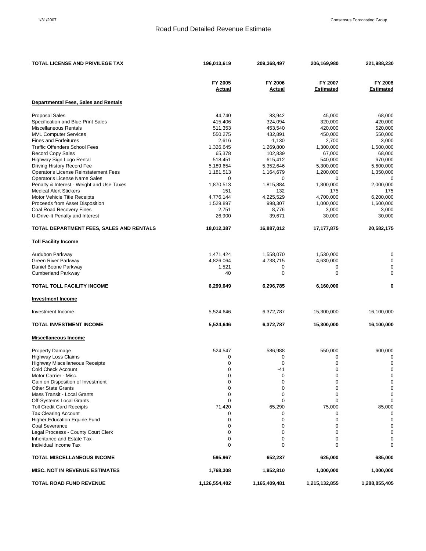### Road Fund Detailed Revenue Estimate

| <b>TOTAL LICENSE AND PRIVILEGE TAX</b>                        | 196,013,619            | 209,368,497       | 206,169,980                 | 221,988,230                 |
|---------------------------------------------------------------|------------------------|-------------------|-----------------------------|-----------------------------|
|                                                               | FY 2005<br>Actual      | FY 2006<br>Actual | FY 2007<br><b>Estimated</b> | FY 2008<br><b>Estimated</b> |
| <b>Departmental Fees, Sales and Rentals</b>                   |                        |                   |                             |                             |
| <b>Proposal Sales</b>                                         | 44,740                 | 83,942            | 45,000                      | 68,000                      |
| Specification and Blue Print Sales                            | 415,406                | 324,094           | 320,000                     | 420,000                     |
| <b>Miscellaneous Rentals</b>                                  | 511,353                | 453,540           | 420,000                     | 520,000                     |
| <b>MVL Computer Services</b>                                  | 550,275                | 432,891           | 450,000                     | 550,000                     |
| <b>Fines and Forfeitures</b>                                  | 2,616                  | $-1,130$          | 2,700                       | 3,000                       |
| <b>Traffic Offenders School Fees</b>                          | 1,326,645              | 1,269,800         | 1,300,000                   | 1,500,000                   |
| Record Copy Sales                                             | 65,378                 | 102,839           | 67,000                      | 68,000                      |
| Highway Sign Logo Rental                                      | 518,451                | 615,412           | 540,000                     | 670,000                     |
| Driving History Record Fee                                    | 5,189,654              | 5,352,646         | 5,300,000                   | 5,600,000                   |
| Operator's License Reinstatement Fees                         | 1,181,513              | 1,164,679         | 1,200,000                   | 1,350,000                   |
| Operator's License Name Sales                                 | 0                      | 0                 | 0                           | 0                           |
| Penalty & Interest - Weight and Use Taxes                     | 1,870,513              | 1,815,884         | 1,800,000                   | 2,000,000                   |
| <b>Medical Alert Stickers</b><br>Motor Vehicle Title Receipts | 151                    | 132<br>4,225,529  | 175<br>4,700,000            | 175<br>6,200,000            |
| Proceeds from Asset Disposition                               | 4,776,144<br>1,529,897 | 998,307           | 1,000,000                   | 1,600,000                   |
| Coal Road Recovery Fines                                      | 2,751                  | 8,776             | 3,000                       | 3,000                       |
| U-Drive-It Penalty and Interest                               | 26,900                 | 39,671            | 30,000                      | 30,000                      |
|                                                               |                        |                   |                             |                             |
| TOTAL DEPARTMENT FEES, SALES AND RENTALS                      | 18,012,387             | 16,887,012        | 17, 177, 875                | 20,582,175                  |
| <b>Toll Facility Income</b>                                   |                        |                   |                             |                             |
| Audubon Parkway                                               | 1,471,424              | 1,558,070         | 1,530,000                   | $\mathbf 0$                 |
| Green River Parkway                                           | 4,826,064              | 4,738,715         | 4,630,000                   | $\mathbf 0$                 |
| Daniel Boone Parkway                                          | 1,521                  | 0                 | 0                           | $\mathbf 0$                 |
| <b>Cumberland Parkway</b>                                     | 40                     | 0                 | $\mathbf 0$                 | 0                           |
| <b>TOTAL TOLL FACILITY INCOME</b>                             | 6,299,049              | 6,296,785         | 6,160,000                   | 0                           |
| <b>Investment Income</b>                                      |                        |                   |                             |                             |
| Investment Income                                             | 5,524,646              | 6,372,787         | 15,300,000                  | 16,100,000                  |
| <b>TOTAL INVESTMENT INCOME</b>                                | 5,524,646              | 6,372,787         | 15,300,000                  | 16,100,000                  |
| <b>Miscellaneous Income</b>                                   |                        |                   |                             |                             |
| <b>Property Damage</b>                                        | 524,547                | 586,988           | 550,000                     | 600,000                     |
| <b>Highway Loss Claims</b>                                    | 0                      | 0                 | 0                           | $\mathbf 0$                 |
| <b>Highway Miscellaneous Receipts</b>                         | 0                      | $\mathbf 0$       | 0                           | $\mathbf 0$                 |
| Cold Check Account                                            | $\Omega$               | -41               | $\Omega$                    | $\mathbf 0$                 |
| Motor Carrier - Misc.<br>Gain on Disposition of Investment    | 0<br>0                 | 0<br>0            | 0<br>$\mathbf 0$            | $\mathbf 0$<br>$\mathbf 0$  |
| <b>Other State Grants</b>                                     | 0                      | 0                 | 0                           | $\mathbf 0$                 |
| Mass Transit - Local Grants                                   | 0                      | 0                 | 0                           | 0                           |
| Off-Systems Local Grants                                      | 0                      | 0                 | 0                           | $\mathbf 0$                 |
| <b>Toll Credit Card Receipts</b>                              | 71,420                 | 65,290            | 75,000                      | 85,000                      |
| <b>Tax Clearing Account</b>                                   | 0                      | 0                 | 0                           | 0                           |
| <b>Higher Education Equine Fund</b>                           | 0                      | 0                 | 0                           | $\mathbf 0$                 |
| <b>Coal Severance</b>                                         | 0                      | 0                 | 0                           | 0                           |
| Legal Processs - County Court Clerk                           | 0                      | 0                 | 0                           | 0                           |
| Inheritance and Estate Tax                                    | 0                      | 0                 | $\mathbf 0$                 | 0                           |
| Individual Income Tax                                         | $\Omega$               | $\Omega$          | $\Omega$                    | $\Omega$                    |
| <b>TOTAL MISCELLANEOUS INCOME</b>                             | 595,967                | 652,237           | 625,000                     | 685,000                     |
| <b>MISC. NOT IN REVENUE ESTIMATES</b>                         | 1,768,308              | 1,952,810         | 1,000,000                   | 1,000,000                   |
| <b>TOTAL ROAD FUND REVENUE</b>                                | 1,126,554,402          | 1,165,409,481     | 1,215,132,855               | 1,288,855,405               |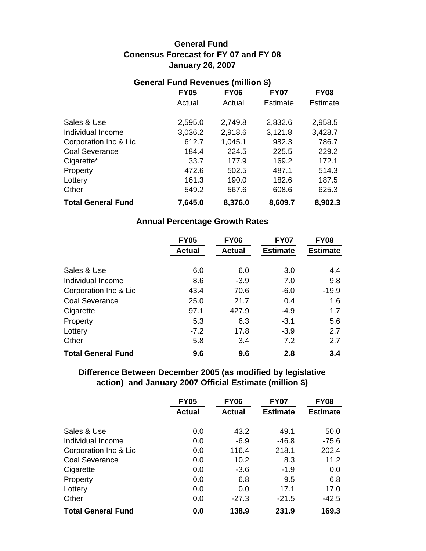# **January 26, 2007 General Fund Conensus Forecast for FY 07 and FY 08**

| General Fund Revenues (million <b>»</b> ) |             |             |                 |             |
|-------------------------------------------|-------------|-------------|-----------------|-------------|
|                                           | <b>FY05</b> | <b>FY06</b> | <b>FY07</b>     | <b>FY08</b> |
|                                           | Actual      | Actual      | <b>Estimate</b> | Estimate    |
|                                           |             |             |                 |             |
| Sales & Use                               | 2,595.0     | 2,749.8     | 2,832.6         | 2,958.5     |
| Individual Income                         | 3,036.2     | 2,918.6     | 3,121.8         | 3,428.7     |
| Corporation Inc & Lic                     | 612.7       | 1,045.1     | 982.3           | 786.7       |
| <b>Coal Severance</b>                     | 184.4       | 224.5       | 225.5           | 229.2       |
| Cigarette*                                | 33.7        | 177.9       | 169.2           | 172.1       |
| Property                                  | 472.6       | 502.5       | 487.1           | 514.3       |
| Lottery                                   | 161.3       | 190.0       | 182.6           | 187.5       |
| Other                                     | 549.2       | 567.6       | 608.6           | 625.3       |
| <b>Total General Fund</b>                 | 7,645.0     | 8,376.0     | 8,609.7         | 8,902.3     |

# **General Fund Revenues (million \$)**

### **Annual Percentage Growth Rates**

|                           | <b>FY05</b>   | <b>FY06</b>   | <b>FY07</b>     | <b>FY08</b>     |
|---------------------------|---------------|---------------|-----------------|-----------------|
|                           | <b>Actual</b> | <b>Actual</b> | <b>Estimate</b> | <b>Estimate</b> |
|                           |               |               |                 |                 |
| Sales & Use               | 6.0           | 6.0           | 3.0             | 4.4             |
| Individual Income         | 8.6           | $-3.9$        | 7.0             | 9.8             |
| Corporation Inc & Lic     | 43.4          | 70.6          | $-6.0$          | $-19.9$         |
| Coal Severance            | 25.0          | 21.7          | 0.4             | 1.6             |
| Cigarette                 | 97.1          | 427.9         | $-4.9$          | 1.7             |
| Property                  | 5.3           | 6.3           | $-3.1$          | 5.6             |
| Lottery                   | $-7.2$        | 17.8          | $-3.9$          | 2.7             |
| Other                     | 5.8           | 3.4           | 7.2             | 2.7             |
| <b>Total General Fund</b> | 9.6           | 9.6           | 2.8             | 3.4             |

# **Difference Between December 2005 (as modified by legislative action) and January 2007 Official Estimate (million \$)**

|                           | <b>FY05</b>   | <b>FY06</b>   | <b>FY07</b>     | <b>FY08</b>     |
|---------------------------|---------------|---------------|-----------------|-----------------|
|                           | <b>Actual</b> | <b>Actual</b> | <b>Estimate</b> | <b>Estimate</b> |
|                           |               |               |                 |                 |
| Sales & Use               | 0.0           | 43.2          | 49.1            | 50.0            |
| Individual Income         | 0.0           | $-6.9$        | $-46.8$         | $-75.6$         |
| Corporation Inc & Lic     | 0.0           | 116.4         | 218.1           | 202.4           |
| <b>Coal Severance</b>     | 0.0           | 10.2          | 8.3             | 11.2            |
| Cigarette                 | 0.0           | $-3.6$        | $-1.9$          | 0.0             |
| Property                  | 0.0           | 6.8           | 9.5             | 6.8             |
| Lottery                   | 0.0           | 0.0           | 17.1            | 17.0            |
| Other                     | 0.0           | $-27.3$       | $-21.5$         | $-42.5$         |
| <b>Total General Fund</b> | 0.0           | 138.9         | 231.9           | 169.3           |